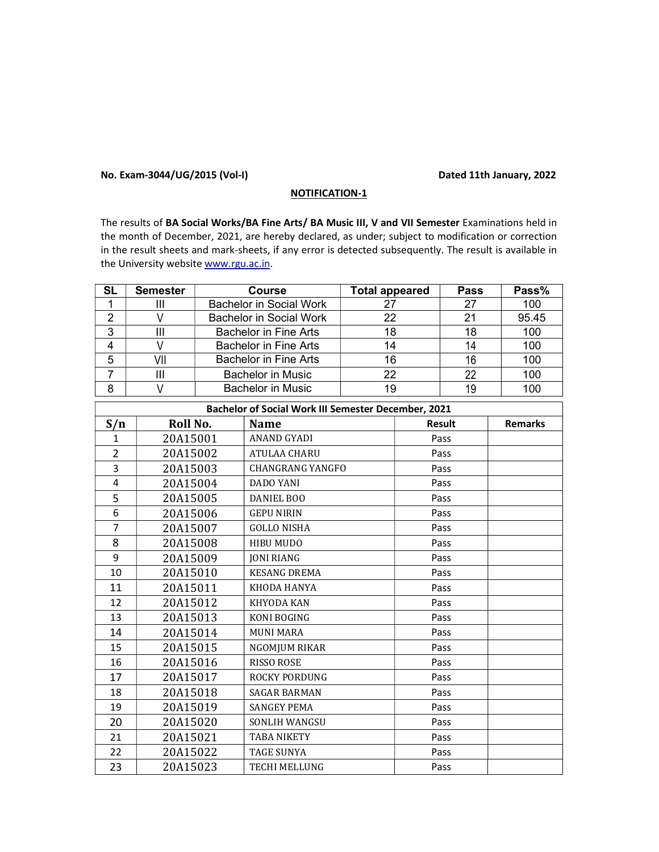## No. Exam-3044/UG/2015 (Vol-I) Dated 11th January, 2022

## NOTIFICATION-1

The results of BA Social Works/BA Fine Arts/ BA Music III, V and VII Semester Examinations held in the month of December, 2021, are hereby declared, as under; subject to modification or correction in the result sheets and mark-sheets, if any error is detected subsequently. The result is available in the University website www.rgu.ac.in.

| <b>SL</b>      | <b>Semester</b> | <b>Course</b>                                       | <b>Total appeared</b> | <b>Pass</b>   | Pass%          |
|----------------|-----------------|-----------------------------------------------------|-----------------------|---------------|----------------|
| $\mathbf 1$    | III             | <b>Bachelor in Social Work</b>                      | 27                    | 27            | 100            |
| $\overline{2}$ | V               | <b>Bachelor in Social Work</b>                      | 22                    | 21            | 95.45          |
| 3              | $\mathbf{III}$  | <b>Bachelor in Fine Arts</b>                        | 18                    | 18            | 100            |
| 4              | V               | <b>Bachelor in Fine Arts</b>                        | 14                    | 14            | 100            |
| 5              | VII             | <b>Bachelor in Fine Arts</b>                        | 16                    | 16            | 100            |
| $\overline{7}$ | $\mathbf{III}$  | <b>Bachelor in Music</b>                            | 22                    | 22            | 100            |
| 8              | V               | <b>Bachelor in Music</b>                            | 19                    | 19            | 100            |
|                |                 | Bachelor of Social Work III Semester December, 2021 |                       |               |                |
| S/n            | Roll No.        | <b>Name</b>                                         |                       | <b>Result</b> | <b>Remarks</b> |
| $\mathbf{1}$   | 20A15001        | <b>ANAND GYADI</b>                                  |                       | Pass          |                |
| $\overline{2}$ | 20A15002        | ATULAA CHARU                                        |                       | Pass          |                |
| 3              | 20A15003        | <b>CHANGRANG YANGFO</b>                             |                       | Pass          |                |
| $\overline{4}$ | 20A15004        | <b>DADO YANI</b>                                    |                       | Pass          |                |
| 5              | 20A15005        | DANIEL BOO                                          |                       | Pass          |                |
| 6              | 20A15006        | <b>GEPU NIRIN</b>                                   |                       | Pass          |                |
| $\overline{7}$ | 20A15007        | <b>GOLLO NISHA</b>                                  |                       | Pass          |                |
| 8              | 20A15008        | HIBU MUDO                                           |                       | Pass          |                |
| 9              | 20A15009        | <b>JONI RIANG</b>                                   |                       | Pass          |                |
| 10             | 20A15010        | <b>KESANG DREMA</b>                                 |                       | Pass          |                |
| 11             | 20A15011        | KHODA HANYA                                         |                       | Pass          |                |
| 12             | 20A15012        | KHYODA KAN                                          |                       | Pass          |                |
| 13             | 20A15013        | KONI BOGING                                         |                       | Pass          |                |
| 14             | 20A15014        | <b>MUNI MARA</b>                                    |                       | Pass          |                |
| 15             | 20A15015        | NGOMJUM RIKAR                                       |                       | Pass          |                |
| 16             | 20A15016        | <b>RISSO ROSE</b>                                   |                       | Pass          |                |
| 17             | 20A15017        | ROCKY PORDUNG                                       |                       | Pass          |                |
| 18             | 20A15018        | <b>SAGAR BARMAN</b>                                 |                       | Pass          |                |
| 19             | 20A15019        | <b>SANGEY PEMA</b>                                  |                       | Pass          |                |
| 20             | 20A15020        | SONLIH WANGSU                                       |                       | Pass          |                |
| 21             | 20A15021        | TABA NIKETY                                         |                       | Pass          |                |
| 22             | 20A15022        | <b>TAGE SUNYA</b>                                   |                       | Pass          |                |
| 23             | 20A15023        | <b>TECHI MELLUNG</b>                                |                       | Pass          |                |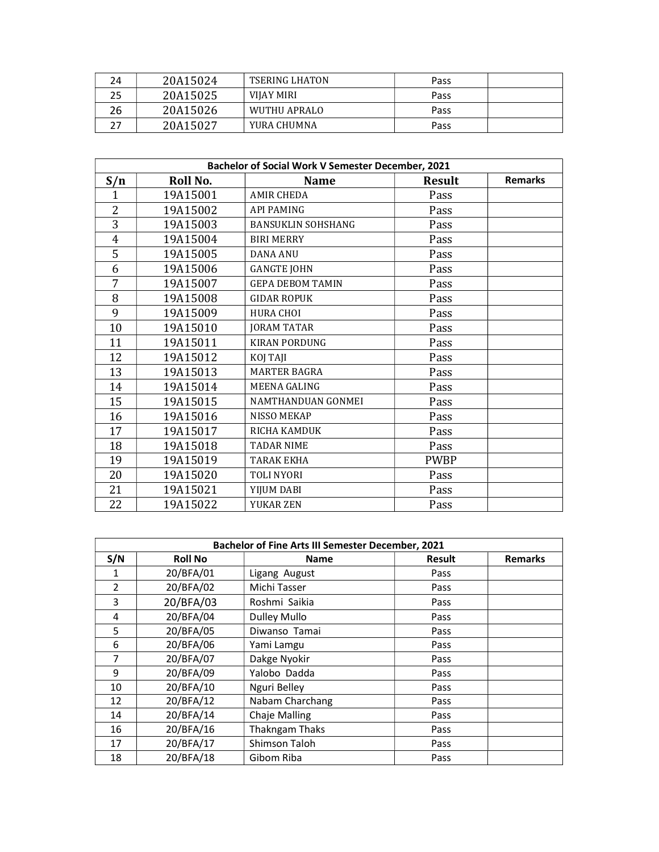| 24 | 20A15024 | <b>TSERING LHATON</b> | Pass |  |
|----|----------|-----------------------|------|--|
| 25 | 20A15025 | VIJAY MIRI            | Pass |  |
| 26 | 20A15026 | WUTHU APRALO          | Pass |  |
|    | 20A15027 | YURA CHUMNA           | Pass |  |

|     | Bachelor of Social Work V Semester December, 2021 |                           |               |                |  |  |
|-----|---------------------------------------------------|---------------------------|---------------|----------------|--|--|
| S/n | Roll No.                                          | Name                      | <b>Result</b> | <b>Remarks</b> |  |  |
| 1   | 19A15001                                          | <b>AMIR CHEDA</b>         | Pass          |                |  |  |
| 2   | 19A15002                                          | <b>API PAMING</b>         | Pass          |                |  |  |
| 3   | 19A15003                                          | <b>BANSUKLIN SOHSHANG</b> | Pass          |                |  |  |
| 4   | 19A15004                                          | <b>BIRI MERRY</b>         | Pass          |                |  |  |
| 5   | 19A15005                                          | <b>DANA ANU</b>           | Pass          |                |  |  |
| 6   | 19A15006                                          | <b>GANGTE JOHN</b>        | Pass          |                |  |  |
| 7   | 19A15007                                          | <b>GEPA DEBOM TAMIN</b>   | Pass          |                |  |  |
| 8   | 19A15008                                          | <b>GIDAR ROPUK</b>        | Pass          |                |  |  |
| 9   | 19A15009                                          | <b>HURA CHOI</b>          | Pass          |                |  |  |
| 10  | 19A15010                                          | <b>JORAM TATAR</b>        | Pass          |                |  |  |
| 11  | 19A15011                                          | <b>KIRAN PORDUNG</b>      | Pass          |                |  |  |
| 12  | 19A15012                                          | KOJ TAJI                  | Pass          |                |  |  |
| 13  | 19A15013                                          | <b>MARTER BAGRA</b>       | Pass          |                |  |  |
| 14  | 19A15014                                          | <b>MEENA GALING</b>       | Pass          |                |  |  |
| 15  | 19A15015                                          | NAMTHANDUAN GONMEI        | Pass          |                |  |  |
| 16  | 19A15016                                          | <b>NISSO MEKAP</b>        | Pass          |                |  |  |
| 17  | 19A15017                                          | <b>RICHA KAMDUK</b>       | Pass          |                |  |  |
| 18  | 19A15018                                          | <b>TADAR NIME</b>         | Pass          |                |  |  |
| 19  | 19A15019                                          | <b>TARAK EKHA</b>         | <b>PWBP</b>   |                |  |  |
| 20  | 19A15020                                          | <b>TOLI NYORI</b>         | Pass          |                |  |  |
| 21  | 19A15021                                          | YIJUM DABI                | Pass          |                |  |  |
| 22  | 19A15022                                          | YUKAR ZEN                 | Pass          |                |  |  |

| Bachelor of Fine Arts III Semester December, 2021 |                |                     |               |                |
|---------------------------------------------------|----------------|---------------------|---------------|----------------|
| S/N                                               | <b>Roll No</b> | <b>Name</b>         | <b>Result</b> | <b>Remarks</b> |
| 1                                                 | 20/BFA/01      | Ligang August       | Pass          |                |
| 2                                                 | 20/BFA/02      | Michi Tasser        | Pass          |                |
| 3                                                 | 20/BFA/03      | Roshmi Saikia       | Pass          |                |
| 4                                                 | 20/BFA/04      | <b>Dulley Mullo</b> | Pass          |                |
| 5                                                 | 20/BFA/05      | Diwanso Tamai       | Pass          |                |
| 6                                                 | 20/BFA/06      | Yami Lamgu          | Pass          |                |
| 7                                                 | 20/BFA/07      | Dakge Nyokir        | Pass          |                |
| 9                                                 | 20/BFA/09      | Yalobo Dadda        | Pass          |                |
| 10                                                | 20/BFA/10      | Nguri Belley        | Pass          |                |
| 12                                                | 20/BFA/12      | Nabam Charchang     | Pass          |                |
| 14                                                | 20/BFA/14      | Chaje Malling       | Pass          |                |
| 16                                                | 20/BFA/16      | Thakngam Thaks      | Pass          |                |
| 17                                                | 20/BFA/17      | Shimson Taloh       | Pass          |                |
| 18                                                | 20/BFA/18      | Gibom Riba          | Pass          |                |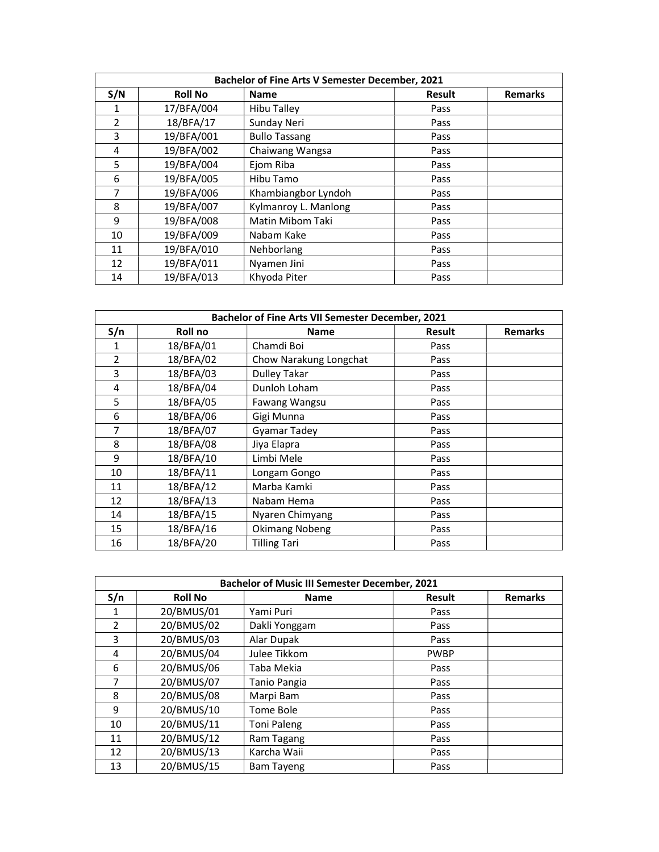| <b>Bachelor of Fine Arts V Semester December, 2021</b> |                |                      |        |                |
|--------------------------------------------------------|----------------|----------------------|--------|----------------|
| S/N                                                    | <b>Roll No</b> | <b>Name</b>          | Result | <b>Remarks</b> |
| 1                                                      | 17/BFA/004     | <b>Hibu Talley</b>   | Pass   |                |
| 2                                                      | 18/BFA/17      | Sunday Neri          | Pass   |                |
| 3                                                      | 19/BFA/001     | <b>Bullo Tassang</b> | Pass   |                |
| 4                                                      | 19/BFA/002     | Chaiwang Wangsa      | Pass   |                |
| 5                                                      | 19/BFA/004     | Ejom Riba            | Pass   |                |
| 6                                                      | 19/BFA/005     | Hibu Tamo            | Pass   |                |
| $\overline{7}$                                         | 19/BFA/006     | Khambiangbor Lyndoh  | Pass   |                |
| 8                                                      | 19/BFA/007     | Kylmanroy L. Manlong | Pass   |                |
| 9                                                      | 19/BFA/008     | Matin Mibom Taki     | Pass   |                |
| 10                                                     | 19/BFA/009     | Nabam Kake           | Pass   |                |
| 11                                                     | 19/BFA/010     | Nehborlang           | Pass   |                |
| 12                                                     | 19/BFA/011     | Nyamen Jini          | Pass   |                |
| 14                                                     | 19/BFA/013     | Khyoda Piter         | Pass   |                |

| Bachelor of Fine Arts VII Semester December, 2021 |           |                        |               |                |
|---------------------------------------------------|-----------|------------------------|---------------|----------------|
| S/n                                               | Roll no   | <b>Name</b>            | <b>Result</b> | <b>Remarks</b> |
| 1                                                 | 18/BFA/01 | Chamdi Boi             | Pass          |                |
| 2                                                 | 18/BFA/02 | Chow Narakung Longchat | Pass          |                |
| 3                                                 | 18/BFA/03 | <b>Dulley Takar</b>    | Pass          |                |
| 4                                                 | 18/BFA/04 | Dunloh Loham           | Pass          |                |
| 5                                                 | 18/BFA/05 | Fawang Wangsu          | Pass          |                |
| 6                                                 | 18/BFA/06 | Gigi Munna             | Pass          |                |
| 7                                                 | 18/BFA/07 | <b>Gyamar Tadey</b>    | Pass          |                |
| 8                                                 | 18/BFA/08 | Jiya Elapra            | Pass          |                |
| 9                                                 | 18/BFA/10 | Limbi Mele             | Pass          |                |
| 10                                                | 18/BFA/11 | Longam Gongo           | Pass          |                |
| 11                                                | 18/BFA/12 | Marba Kamki            | Pass          |                |
| 12                                                | 18/BFA/13 | Nabam Hema             | Pass          |                |
| 14                                                | 18/BFA/15 | Nyaren Chimyang        | Pass          |                |
| 15                                                | 18/BFA/16 | <b>Okimang Nobeng</b>  | Pass          |                |
| 16                                                | 18/BFA/20 | <b>Tilling Tari</b>    | Pass          |                |

| <b>Bachelor of Music III Semester December, 2021</b> |                |                    |               |                |
|------------------------------------------------------|----------------|--------------------|---------------|----------------|
| S/n                                                  | <b>Roll No</b> | <b>Name</b>        | <b>Result</b> | <b>Remarks</b> |
| 1                                                    | 20/BMUS/01     | Yami Puri          | Pass          |                |
| 2                                                    | 20/BMUS/02     | Dakli Yonggam      | Pass          |                |
| 3                                                    | 20/BMUS/03     | Alar Dupak         | Pass          |                |
| 4                                                    | 20/BMUS/04     | Julee Tikkom       | <b>PWBP</b>   |                |
| 6                                                    | 20/BMUS/06     | Taba Mekia         | Pass          |                |
| 7                                                    | 20/BMUS/07     | Tanio Pangia       | Pass          |                |
| 8                                                    | 20/BMUS/08     | Marpi Bam          | Pass          |                |
| 9                                                    | 20/BMUS/10     | Tome Bole          | Pass          |                |
| 10                                                   | 20/BMUS/11     | <b>Toni Paleng</b> | Pass          |                |
| 11                                                   | 20/BMUS/12     | Ram Tagang         | Pass          |                |
| 12                                                   | 20/BMUS/13     | Karcha Waii        | Pass          |                |
| 13                                                   | 20/BMUS/15     | <b>Bam Tayeng</b>  | Pass          |                |